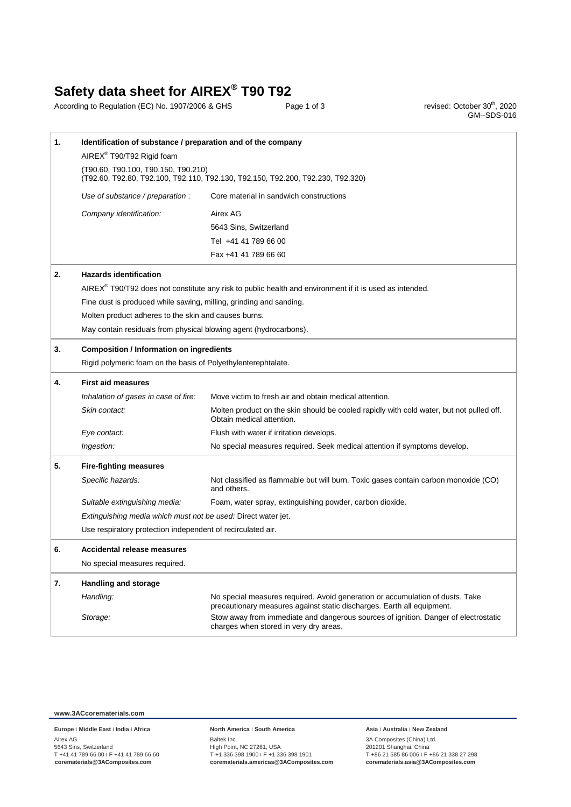## **Safety data sheet for AIREX® T90 T92**

According to Regulation (EC) No. 1907/2006 & GHS Page 1 of 3

, 2020 GM--SDS-016

| 1. | Identification of substance / preparation and of the company                                                           |                                                                                                                                                         |  |  |
|----|------------------------------------------------------------------------------------------------------------------------|---------------------------------------------------------------------------------------------------------------------------------------------------------|--|--|
|    | AIREX® T90/T92 Rigid foam                                                                                              |                                                                                                                                                         |  |  |
|    | (T90.60, T90.100, T90.150, T90.210)<br>(T92.60, T92.80, T92.100, T92.110, T92.130, T92.150, T92.200, T92.230, T92.320) |                                                                                                                                                         |  |  |
|    | Use of substance / preparation :                                                                                       | Core material in sandwich constructions                                                                                                                 |  |  |
|    | Company identification:                                                                                                | Airex AG                                                                                                                                                |  |  |
|    |                                                                                                                        | 5643 Sins, Switzerland                                                                                                                                  |  |  |
|    |                                                                                                                        | Tel +41 41 789 66 00                                                                                                                                    |  |  |
|    |                                                                                                                        | Fax +41 41 789 66 60                                                                                                                                    |  |  |
| 2. | <b>Hazards identification</b>                                                                                          |                                                                                                                                                         |  |  |
|    |                                                                                                                        | AIREX® T90/T92 does not constitute any risk to public health and environment if it is used as intended.                                                 |  |  |
|    | Fine dust is produced while sawing, milling, grinding and sanding.                                                     |                                                                                                                                                         |  |  |
|    | Molten product adheres to the skin and causes burns.                                                                   |                                                                                                                                                         |  |  |
|    | May contain residuals from physical blowing agent (hydrocarbons).                                                      |                                                                                                                                                         |  |  |
| 3. | <b>Composition / Information on ingredients</b>                                                                        |                                                                                                                                                         |  |  |
|    | Rigid polymeric foam on the basis of Polyethylenterephtalate.                                                          |                                                                                                                                                         |  |  |
| 4. | <b>First aid measures</b>                                                                                              |                                                                                                                                                         |  |  |
|    | Inhalation of gases in case of fire:                                                                                   | Move victim to fresh air and obtain medical attention.                                                                                                  |  |  |
|    | Skin contact:                                                                                                          | Molten product on the skin should be cooled rapidly with cold water, but not pulled off.<br>Obtain medical attention.                                   |  |  |
|    | Eye contact:                                                                                                           | Flush with water if irritation develops.                                                                                                                |  |  |
|    | Ingestion:                                                                                                             | No special measures required. Seek medical attention if symptoms develop.                                                                               |  |  |
| 5. | <b>Fire-fighting measures</b>                                                                                          |                                                                                                                                                         |  |  |
|    | Specific hazards:                                                                                                      | Not classified as flammable but will burn. Toxic gases contain carbon monoxide (CO)<br>and others.                                                      |  |  |
|    | Suitable extinguishing media:                                                                                          | Foam, water spray, extinguishing powder, carbon dioxide.                                                                                                |  |  |
|    | Extinguishing media which must not be used: Direct water jet.                                                          |                                                                                                                                                         |  |  |
|    | Use respiratory protection independent of recirculated air.                                                            |                                                                                                                                                         |  |  |
| 6. | Accidental release measures                                                                                            |                                                                                                                                                         |  |  |
|    | No special measures required.                                                                                          |                                                                                                                                                         |  |  |
| 7. | <b>Handling and storage</b>                                                                                            |                                                                                                                                                         |  |  |
|    | Handling:                                                                                                              | No special measures required. Avoid generation or accumulation of dusts. Take<br>precautionary measures against static discharges. Earth all equipment. |  |  |
|    | Storage:                                                                                                               | Stow away from immediate and dangerous sources of ignition. Danger of electrostatic<br>charges when stored in very dry areas.                           |  |  |

### **www.3ACcorematerials.com**

**Europe** ׀ **Middle East** ׀ **India** ׀ **Africa** Airex AG 5643 Sins, Switzerland T +41 41 789 66 00 ׀ F +41 41 789 66 60 **corematerials@3AComposites.com**

### **North America** ׀ **South America**

Baltek Inc. High Point, NC 27261, USA T +1 336 398 1900 ׀ F +1 336 398 1901 **corematerials.americas@3AComposites.com**

### **Asia** ׀ **Australia** ׀ **New Zealand**

3A Composites (China) Ltd. 201201 Shanghai, China T +86 21 585 86 006 ׀ F +86 21 338 27 298 **corematerials.asia@3AComposites.com**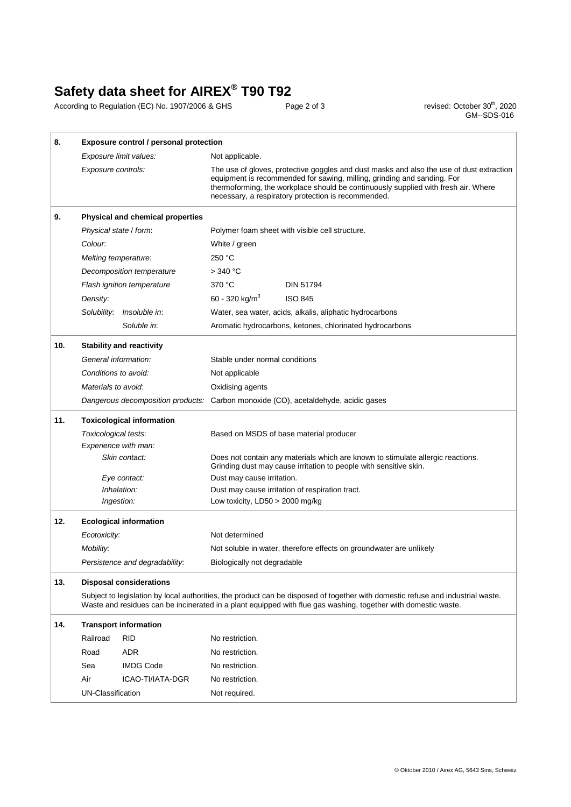## **Safety data sheet for AIREX® T90 T92**

According to Regulation (EC) No. 1907/2006 & GHS Page 2 of 3 **Page 2 of 3** revised: October 30<sup>th</sup>, 2020

revised: October 30<sup>th</sup>, 2020<br>GM--SDS-016

| Exposure limit values:<br>Not applicable.<br>Exposure controls:<br>equipment is recommended for sawing, milling, grinding and sanding. For<br>necessary, a respiratory protection is recommended.<br>9.<br><b>Physical and chemical properties</b><br>Physical state / form:<br>Polymer foam sheet with visible cell structure.<br>Colour.<br>White / green<br>250 °C<br>Melting temperature:<br>Decomposition temperature<br>> 340 °C<br>370 °C<br><b>DIN 51794</b><br>Flash ignition temperature<br>60 - 320 kg/m <sup>3</sup><br><b>ISO 845</b><br>Density:<br>Solubility:<br>Insoluble in:<br>Water, sea water, acids, alkalis, aliphatic hydrocarbons<br>Soluble in:<br>Aromatic hydrocarbons, ketones, chlorinated hydrocarbons<br>10.<br><b>Stability and reactivity</b><br>General information:<br>Stable under normal conditions<br>Conditions to avoid:<br>Not applicable<br>Materials to avoid:<br>Oxidising agents<br>Dangerous decomposition products: Carbon monoxide (CO), acetaldehyde, acidic gases<br>11.<br><b>Toxicological information</b><br>Toxicological tests:<br>Based on MSDS of base material producer<br>Experience with man:<br>Skin contact:<br>Does not contain any materials which are known to stimulate allergic reactions.<br>Grinding dust may cause irritation to people with sensitive skin.<br>Dust may cause irritation.<br>Eye contact:<br>Inhalation:<br>Dust may cause irritation of respiration tract.<br>Ingestion:<br>Low toxicity, $LD50 > 2000$ mg/kg<br>12.<br><b>Ecological information</b><br>Not determined<br>Ecotoxicity:<br>Mobility:<br>Not soluble in water, therefore effects on groundwater are unlikely<br>Persistence and degradability:<br>Biologically not degradable<br>13.<br><b>Disposal considerations</b><br>Waste and residues can be incinerated in a plant equipped with flue gas washing, together with domestic waste.<br>14.<br><b>Transport information</b><br>Railroad<br><b>RID</b><br>No restriction.<br><b>ADR</b><br>No restriction.<br>Road<br>Sea<br><b>IMDG Code</b><br>No restriction. | 8. | Exposure control / personal protection                                                                                          |  |                                                                                                                                                                                |  |
|-----------------------------------------------------------------------------------------------------------------------------------------------------------------------------------------------------------------------------------------------------------------------------------------------------------------------------------------------------------------------------------------------------------------------------------------------------------------------------------------------------------------------------------------------------------------------------------------------------------------------------------------------------------------------------------------------------------------------------------------------------------------------------------------------------------------------------------------------------------------------------------------------------------------------------------------------------------------------------------------------------------------------------------------------------------------------------------------------------------------------------------------------------------------------------------------------------------------------------------------------------------------------------------------------------------------------------------------------------------------------------------------------------------------------------------------------------------------------------------------------------------------------------------------------------------------------------------------------------------------------------------------------------------------------------------------------------------------------------------------------------------------------------------------------------------------------------------------------------------------------------------------------------------------------------------------------------------------------------------------------------------------------------------------------------------------------------|----|---------------------------------------------------------------------------------------------------------------------------------|--|--------------------------------------------------------------------------------------------------------------------------------------------------------------------------------|--|
|                                                                                                                                                                                                                                                                                                                                                                                                                                                                                                                                                                                                                                                                                                                                                                                                                                                                                                                                                                                                                                                                                                                                                                                                                                                                                                                                                                                                                                                                                                                                                                                                                                                                                                                                                                                                                                                                                                                                                                                                                                                                             |    |                                                                                                                                 |  |                                                                                                                                                                                |  |
|                                                                                                                                                                                                                                                                                                                                                                                                                                                                                                                                                                                                                                                                                                                                                                                                                                                                                                                                                                                                                                                                                                                                                                                                                                                                                                                                                                                                                                                                                                                                                                                                                                                                                                                                                                                                                                                                                                                                                                                                                                                                             |    |                                                                                                                                 |  | The use of gloves, protective goggles and dust masks and also the use of dust extraction<br>thermoforming, the workplace should be continuously supplied with fresh air. Where |  |
|                                                                                                                                                                                                                                                                                                                                                                                                                                                                                                                                                                                                                                                                                                                                                                                                                                                                                                                                                                                                                                                                                                                                                                                                                                                                                                                                                                                                                                                                                                                                                                                                                                                                                                                                                                                                                                                                                                                                                                                                                                                                             |    |                                                                                                                                 |  |                                                                                                                                                                                |  |
|                                                                                                                                                                                                                                                                                                                                                                                                                                                                                                                                                                                                                                                                                                                                                                                                                                                                                                                                                                                                                                                                                                                                                                                                                                                                                                                                                                                                                                                                                                                                                                                                                                                                                                                                                                                                                                                                                                                                                                                                                                                                             |    |                                                                                                                                 |  |                                                                                                                                                                                |  |
|                                                                                                                                                                                                                                                                                                                                                                                                                                                                                                                                                                                                                                                                                                                                                                                                                                                                                                                                                                                                                                                                                                                                                                                                                                                                                                                                                                                                                                                                                                                                                                                                                                                                                                                                                                                                                                                                                                                                                                                                                                                                             |    |                                                                                                                                 |  |                                                                                                                                                                                |  |
|                                                                                                                                                                                                                                                                                                                                                                                                                                                                                                                                                                                                                                                                                                                                                                                                                                                                                                                                                                                                                                                                                                                                                                                                                                                                                                                                                                                                                                                                                                                                                                                                                                                                                                                                                                                                                                                                                                                                                                                                                                                                             |    |                                                                                                                                 |  |                                                                                                                                                                                |  |
|                                                                                                                                                                                                                                                                                                                                                                                                                                                                                                                                                                                                                                                                                                                                                                                                                                                                                                                                                                                                                                                                                                                                                                                                                                                                                                                                                                                                                                                                                                                                                                                                                                                                                                                                                                                                                                                                                                                                                                                                                                                                             |    |                                                                                                                                 |  |                                                                                                                                                                                |  |
|                                                                                                                                                                                                                                                                                                                                                                                                                                                                                                                                                                                                                                                                                                                                                                                                                                                                                                                                                                                                                                                                                                                                                                                                                                                                                                                                                                                                                                                                                                                                                                                                                                                                                                                                                                                                                                                                                                                                                                                                                                                                             |    |                                                                                                                                 |  |                                                                                                                                                                                |  |
|                                                                                                                                                                                                                                                                                                                                                                                                                                                                                                                                                                                                                                                                                                                                                                                                                                                                                                                                                                                                                                                                                                                                                                                                                                                                                                                                                                                                                                                                                                                                                                                                                                                                                                                                                                                                                                                                                                                                                                                                                                                                             |    |                                                                                                                                 |  |                                                                                                                                                                                |  |
|                                                                                                                                                                                                                                                                                                                                                                                                                                                                                                                                                                                                                                                                                                                                                                                                                                                                                                                                                                                                                                                                                                                                                                                                                                                                                                                                                                                                                                                                                                                                                                                                                                                                                                                                                                                                                                                                                                                                                                                                                                                                             |    |                                                                                                                                 |  |                                                                                                                                                                                |  |
|                                                                                                                                                                                                                                                                                                                                                                                                                                                                                                                                                                                                                                                                                                                                                                                                                                                                                                                                                                                                                                                                                                                                                                                                                                                                                                                                                                                                                                                                                                                                                                                                                                                                                                                                                                                                                                                                                                                                                                                                                                                                             |    |                                                                                                                                 |  |                                                                                                                                                                                |  |
|                                                                                                                                                                                                                                                                                                                                                                                                                                                                                                                                                                                                                                                                                                                                                                                                                                                                                                                                                                                                                                                                                                                                                                                                                                                                                                                                                                                                                                                                                                                                                                                                                                                                                                                                                                                                                                                                                                                                                                                                                                                                             |    |                                                                                                                                 |  |                                                                                                                                                                                |  |
|                                                                                                                                                                                                                                                                                                                                                                                                                                                                                                                                                                                                                                                                                                                                                                                                                                                                                                                                                                                                                                                                                                                                                                                                                                                                                                                                                                                                                                                                                                                                                                                                                                                                                                                                                                                                                                                                                                                                                                                                                                                                             |    |                                                                                                                                 |  |                                                                                                                                                                                |  |
|                                                                                                                                                                                                                                                                                                                                                                                                                                                                                                                                                                                                                                                                                                                                                                                                                                                                                                                                                                                                                                                                                                                                                                                                                                                                                                                                                                                                                                                                                                                                                                                                                                                                                                                                                                                                                                                                                                                                                                                                                                                                             |    |                                                                                                                                 |  |                                                                                                                                                                                |  |
|                                                                                                                                                                                                                                                                                                                                                                                                                                                                                                                                                                                                                                                                                                                                                                                                                                                                                                                                                                                                                                                                                                                                                                                                                                                                                                                                                                                                                                                                                                                                                                                                                                                                                                                                                                                                                                                                                                                                                                                                                                                                             |    |                                                                                                                                 |  |                                                                                                                                                                                |  |
|                                                                                                                                                                                                                                                                                                                                                                                                                                                                                                                                                                                                                                                                                                                                                                                                                                                                                                                                                                                                                                                                                                                                                                                                                                                                                                                                                                                                                                                                                                                                                                                                                                                                                                                                                                                                                                                                                                                                                                                                                                                                             |    |                                                                                                                                 |  |                                                                                                                                                                                |  |
|                                                                                                                                                                                                                                                                                                                                                                                                                                                                                                                                                                                                                                                                                                                                                                                                                                                                                                                                                                                                                                                                                                                                                                                                                                                                                                                                                                                                                                                                                                                                                                                                                                                                                                                                                                                                                                                                                                                                                                                                                                                                             |    |                                                                                                                                 |  |                                                                                                                                                                                |  |
|                                                                                                                                                                                                                                                                                                                                                                                                                                                                                                                                                                                                                                                                                                                                                                                                                                                                                                                                                                                                                                                                                                                                                                                                                                                                                                                                                                                                                                                                                                                                                                                                                                                                                                                                                                                                                                                                                                                                                                                                                                                                             |    |                                                                                                                                 |  |                                                                                                                                                                                |  |
|                                                                                                                                                                                                                                                                                                                                                                                                                                                                                                                                                                                                                                                                                                                                                                                                                                                                                                                                                                                                                                                                                                                                                                                                                                                                                                                                                                                                                                                                                                                                                                                                                                                                                                                                                                                                                                                                                                                                                                                                                                                                             |    |                                                                                                                                 |  |                                                                                                                                                                                |  |
|                                                                                                                                                                                                                                                                                                                                                                                                                                                                                                                                                                                                                                                                                                                                                                                                                                                                                                                                                                                                                                                                                                                                                                                                                                                                                                                                                                                                                                                                                                                                                                                                                                                                                                                                                                                                                                                                                                                                                                                                                                                                             |    |                                                                                                                                 |  |                                                                                                                                                                                |  |
|                                                                                                                                                                                                                                                                                                                                                                                                                                                                                                                                                                                                                                                                                                                                                                                                                                                                                                                                                                                                                                                                                                                                                                                                                                                                                                                                                                                                                                                                                                                                                                                                                                                                                                                                                                                                                                                                                                                                                                                                                                                                             |    |                                                                                                                                 |  |                                                                                                                                                                                |  |
|                                                                                                                                                                                                                                                                                                                                                                                                                                                                                                                                                                                                                                                                                                                                                                                                                                                                                                                                                                                                                                                                                                                                                                                                                                                                                                                                                                                                                                                                                                                                                                                                                                                                                                                                                                                                                                                                                                                                                                                                                                                                             |    |                                                                                                                                 |  |                                                                                                                                                                                |  |
|                                                                                                                                                                                                                                                                                                                                                                                                                                                                                                                                                                                                                                                                                                                                                                                                                                                                                                                                                                                                                                                                                                                                                                                                                                                                                                                                                                                                                                                                                                                                                                                                                                                                                                                                                                                                                                                                                                                                                                                                                                                                             |    |                                                                                                                                 |  |                                                                                                                                                                                |  |
|                                                                                                                                                                                                                                                                                                                                                                                                                                                                                                                                                                                                                                                                                                                                                                                                                                                                                                                                                                                                                                                                                                                                                                                                                                                                                                                                                                                                                                                                                                                                                                                                                                                                                                                                                                                                                                                                                                                                                                                                                                                                             |    |                                                                                                                                 |  |                                                                                                                                                                                |  |
|                                                                                                                                                                                                                                                                                                                                                                                                                                                                                                                                                                                                                                                                                                                                                                                                                                                                                                                                                                                                                                                                                                                                                                                                                                                                                                                                                                                                                                                                                                                                                                                                                                                                                                                                                                                                                                                                                                                                                                                                                                                                             |    |                                                                                                                                 |  |                                                                                                                                                                                |  |
|                                                                                                                                                                                                                                                                                                                                                                                                                                                                                                                                                                                                                                                                                                                                                                                                                                                                                                                                                                                                                                                                                                                                                                                                                                                                                                                                                                                                                                                                                                                                                                                                                                                                                                                                                                                                                                                                                                                                                                                                                                                                             |    |                                                                                                                                 |  |                                                                                                                                                                                |  |
|                                                                                                                                                                                                                                                                                                                                                                                                                                                                                                                                                                                                                                                                                                                                                                                                                                                                                                                                                                                                                                                                                                                                                                                                                                                                                                                                                                                                                                                                                                                                                                                                                                                                                                                                                                                                                                                                                                                                                                                                                                                                             |    |                                                                                                                                 |  |                                                                                                                                                                                |  |
|                                                                                                                                                                                                                                                                                                                                                                                                                                                                                                                                                                                                                                                                                                                                                                                                                                                                                                                                                                                                                                                                                                                                                                                                                                                                                                                                                                                                                                                                                                                                                                                                                                                                                                                                                                                                                                                                                                                                                                                                                                                                             |    |                                                                                                                                 |  |                                                                                                                                                                                |  |
|                                                                                                                                                                                                                                                                                                                                                                                                                                                                                                                                                                                                                                                                                                                                                                                                                                                                                                                                                                                                                                                                                                                                                                                                                                                                                                                                                                                                                                                                                                                                                                                                                                                                                                                                                                                                                                                                                                                                                                                                                                                                             |    | Subject to legislation by local authorities, the product can be disposed of together with domestic refuse and industrial waste. |  |                                                                                                                                                                                |  |
|                                                                                                                                                                                                                                                                                                                                                                                                                                                                                                                                                                                                                                                                                                                                                                                                                                                                                                                                                                                                                                                                                                                                                                                                                                                                                                                                                                                                                                                                                                                                                                                                                                                                                                                                                                                                                                                                                                                                                                                                                                                                             |    |                                                                                                                                 |  |                                                                                                                                                                                |  |
|                                                                                                                                                                                                                                                                                                                                                                                                                                                                                                                                                                                                                                                                                                                                                                                                                                                                                                                                                                                                                                                                                                                                                                                                                                                                                                                                                                                                                                                                                                                                                                                                                                                                                                                                                                                                                                                                                                                                                                                                                                                                             |    |                                                                                                                                 |  |                                                                                                                                                                                |  |
|                                                                                                                                                                                                                                                                                                                                                                                                                                                                                                                                                                                                                                                                                                                                                                                                                                                                                                                                                                                                                                                                                                                                                                                                                                                                                                                                                                                                                                                                                                                                                                                                                                                                                                                                                                                                                                                                                                                                                                                                                                                                             |    |                                                                                                                                 |  |                                                                                                                                                                                |  |
|                                                                                                                                                                                                                                                                                                                                                                                                                                                                                                                                                                                                                                                                                                                                                                                                                                                                                                                                                                                                                                                                                                                                                                                                                                                                                                                                                                                                                                                                                                                                                                                                                                                                                                                                                                                                                                                                                                                                                                                                                                                                             |    |                                                                                                                                 |  |                                                                                                                                                                                |  |
| Air<br>ICAO-TI/IATA-DGR<br>No restriction.                                                                                                                                                                                                                                                                                                                                                                                                                                                                                                                                                                                                                                                                                                                                                                                                                                                                                                                                                                                                                                                                                                                                                                                                                                                                                                                                                                                                                                                                                                                                                                                                                                                                                                                                                                                                                                                                                                                                                                                                                                  |    |                                                                                                                                 |  |                                                                                                                                                                                |  |
| UN-Classification<br>Not required.                                                                                                                                                                                                                                                                                                                                                                                                                                                                                                                                                                                                                                                                                                                                                                                                                                                                                                                                                                                                                                                                                                                                                                                                                                                                                                                                                                                                                                                                                                                                                                                                                                                                                                                                                                                                                                                                                                                                                                                                                                          |    |                                                                                                                                 |  |                                                                                                                                                                                |  |